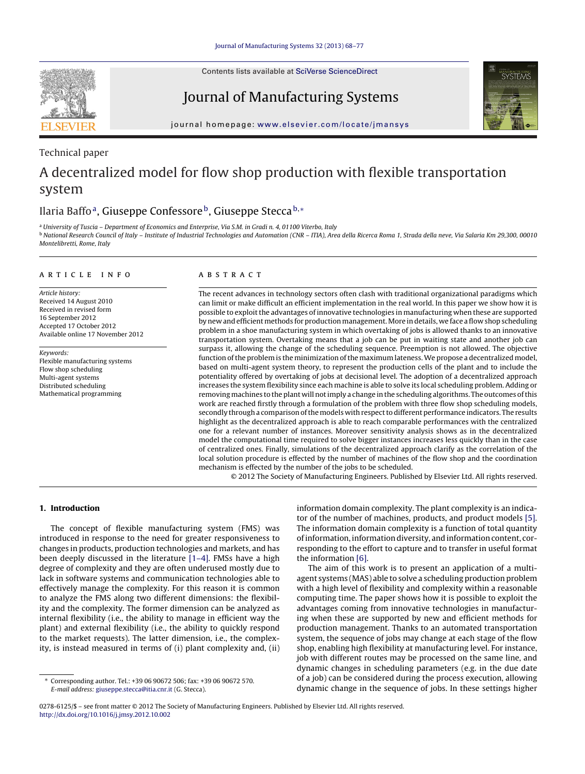Contents lists available at SciVerse [ScienceDirect](http://www.sciencedirect.com/science/journal/02786125)



Technical paper

Journal of Manufacturing Systems



journal hom epage: [www.elsevier.com/locate/jmansys](http://www.elsevier.com/locate/jmansys)

# A decentralized model for flow shop production with flexible transportation system

### Ilaria Baffo<sup>a</sup>, Giuseppe Confessore<sup>b</sup>, Giuseppe Stecca<sup>b,\*</sup>

<sup>a</sup> University of Tuscia – Department of Economics and Enterprise, Via S.M. in Gradi n. 4, 01100 Viterbo, Italy <sup>b</sup> National Research Council of Italy – Institute of Industrial Technologies and Automation (CNR – ITIA), Area della Ricerca Roma 1, Strada della neve, Via Salaria Km 29,300, 00010 Montelibretti, Rome, Italy

#### A R T I C L E I N F O

Article history: Received 14 August 2010 Received in revised form 16 September 2012 Accepted 17 October 2012 Available online 17 November 2012

Keywords: Flexible manufacturing systems Flow shop scheduling Multi-agent systems Distributed scheduling Mathematical programming

#### a b s t r a c t

The recent advances in technology sectors often clash with traditional organizational paradigms which can limit or make difficult an efficient implementation in the real world. In this paper we show how it is possible to exploitthe advantages of innovative technologies in manufacturing when these are supported by new and efficient methods for production management. More in details, we face a flow shop scheduling problem in a shoe manufacturing system in which overtaking of jobs is allowed thanks to an innovative transportation system. Overtaking means that a job can be put in waiting state and another job can surpass it, allowing the change of the scheduling sequence. Preemption is not allowed. The objective function ofthe problem is the minimization ofthe maximum lateness.We propose a decentralized model, based on multi-agent system theory, to represent the production cells of the plant and to include the potentiality offered by overtaking of jobs at decisional level. The adoption of a decentralized approach increases the system flexibility since each machine is able to solve its local scheduling problem. Adding or removingmachines to the plant will notimply a change in the scheduling algorithms. The outcomes ofthis work are reached firstly through a formulation of the problem with three flow shop scheduling models, secondly through a comparison of the models with respect to different performance indicators. The results highlight as the decentralized approach is able to reach comparable performances with the centralized one for a relevant number of instances. Moreover sensitivity analysis shows as in the decentralized model the computational time required to solve bigger instances increases less quickly than in the case of centralized ones. Finally, simulations of the decentralized approach clarify as the correlation of the local solution procedure is effected by the number of machines of the flow shop and the coordination mechanism is effected by the number of the jobs to be scheduled.

© 2012 The Society of Manufacturing Engineers. Published by Elsevier Ltd. All rights reserved.

#### **1. Introduction**

The concept of flexible manufacturing system (FMS) was introduced in response to the need for greater responsiveness to changes in products, production technologies and markets, and has been deeply discussed in the literature [\[1–4\].](#page--1-0) FMSs have a high degree of complexity and they are often underused mostly due to lack in software systems and communication technologies able to effectively manage the complexity. For this reason it is common to analyze the FMS along two different dimensions: the flexibility and the complexity. The former dimension can be analyzed as internal flexibility (i.e., the ability to manage in efficient way the plant) and external flexibility (i.e., the ability to quickly respond to the market requests). The latter dimension, i.e., the complexity, is instead measured in terms of (i) plant complexity and, (ii) information domain complexity. The plant complexity is an indica-tor of the number of machines, products, and product models [\[5\].](#page--1-0) The information domain complexity is a function of total quantity ofinformation, information diversity, and information content, corresponding to the effort to capture and to transfer in useful format the information [\[6\].](#page--1-0)

The aim of this work is to present an application of a multiagent systems (MAS) able to solve a scheduling production problem with a high level of flexibility and complexity within a reasonable computing time. The paper shows how it is possible to exploit the advantages coming from innovative technologies in manufacturing when these are supported by new and efficient methods for production management. Thanks to an automated transportation system, the sequence of jobs may change at each stage of the flow shop, enabling high flexibility at manufacturing level. For instance, job with different routes may be processed on the same line, and dynamic changes in scheduling parameters (e.g. in the due date of a job) can be considered during the process execution, allowing dynamic change in the sequence of jobs. In these settings higher

<sup>∗</sup> Corresponding author. Tel.: +39 06 90672 506; fax: +39 06 90672 570. E-mail address: [giuseppe.stecca@itia.cnr.it](mailto:giuseppe.stecca@itia.cnr.it) (G. Stecca).

<sup>0278-6125/\$</sup> – see front matter © 2012 The Society of Manufacturing Engineers. Published by Elsevier Ltd. All rights reserved. [http://dx.doi.org/10.1016/j.jmsy.2012.10.002](dx.doi.org/10.1016/j.jmsy.2012.10.002)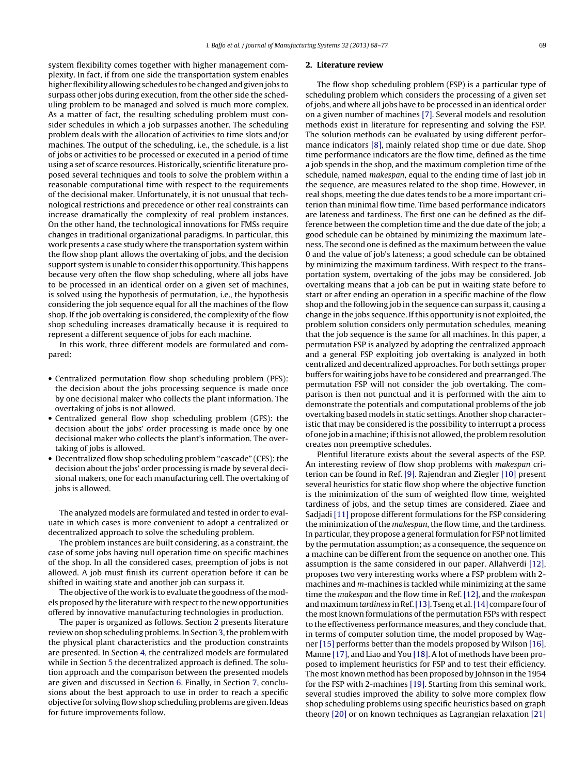system flexibility comes together with higher management complexity. In fact, if from one side the transportation system enables higher flexibility allowing schedules to be changed and given jobs to surpass other jobs during execution, from the other side the scheduling problem to be managed and solved is much more complex. As a matter of fact, the resulting scheduling problem must consider schedules in which a job surpasses another. The scheduling problem deals with the allocation of activities to time slots and/or machines. The output of the scheduling, i.e., the schedule, is a list of jobs or activities to be processed or executed in a period of time using a set of scarce resources. Historically, scientific literature proposed several techniques and tools to solve the problem within a reasonable computational time with respect to the requirements of the decisional maker. Unfortunately, it is not unusual that technological restrictions and precedence or other real constraints can increase dramatically the complexity of real problem instances. On the other hand, the technological innovations for FMSs require changes in traditional organizational paradigms. In particular, this work presents a case study where the transportation system within the flow shop plant allows the overtaking of jobs, and the decision support system is unable to consider this opportunity. This happens because very often the flow shop scheduling, where all jobs have to be processed in an identical order on a given set of machines, is solved using the hypothesis of permutation, i.e., the hypothesis considering the job sequence equal for all the machines of the flow shop. If the job overtaking is considered, the complexity of the flow shop scheduling increases dramatically because it is required to represent a different sequence of jobs for each machine.

In this work, three different models are formulated and compared:

- Centralized permutation flow shop scheduling problem (PFS): the decision about the jobs processing sequence is made once by one decisional maker who collects the plant information. The overtaking of jobs is not allowed.
- Centralized general flow shop scheduling problem (GFS): the decision about the jobs' order processing is made once by one decisional maker who collects the plant's information. The overtaking of jobs is allowed.
- Decentralized flow shop scheduling problem "cascade" (CFS): the decision about the jobs' order processing is made by several decisional makers, one for each manufacturing cell. The overtaking of jobs is allowed.

The analyzed models are formulated and tested in order to evaluate in which cases is more convenient to adopt a centralized or decentralized approach to solve the scheduling problem.

The problem instances are built considering, as a constraint, the case of some jobs having null operation time on specific machines of the shop. In all the considered cases, preemption of jobs is not allowed. A job must finish its current operation before it can be shifted in waiting state and another job can surpass it.

The objective of the work is to evaluate the goodness of the models proposed by the literature with respect to the new opportunities offered by innovative manufacturing technologies in production.

The paper is organized as follows. Section 2 presents literature review on shop scheduling problems. In Section 3, the problem with the physical plant characteristics and the production constraints are presented. In Section [4,](#page--1-0) the centralized models are formulated while in Section [5](#page--1-0) the decentralized approach is defined. The solution approach and the comparison between the presented models are given and discussed in Section [6.](#page--1-0) Finally, in Section [7,](#page--1-0) conclusions about the best approach to use in order to reach a specific objective for solving flow shop scheduling problems are given. Ideas for future improvements follow.

#### **2. Literature review**

The flow shop scheduling problem (FSP) is a particular type of scheduling problem which considers the processing of a given set of jobs, and where all jobs have to be processed in an identical order on a given number of machines [\[7\].](#page--1-0) Several models and resolution methods exist in literature for representing and solving the FSP. The solution methods can be evaluated by using different performance indicators [\[8\],](#page--1-0) mainly related shop time or due date. Shop time performance indicators are the flow time, defined as the time a job spends in the shop, and the maximum completion time of the schedule, named makespan, equal to the ending time of last job in the sequence, are measures related to the shop time. However, in real shops, meeting the due dates tends to be a more important criterion than minimal flow time. Time based performance indicators are lateness and tardiness. The first one can be defined as the difference between the completion time and the due date of the job; a good schedule can be obtained by minimizing the maximum lateness. The second one is defined as the maximum between the value 0 and the value of job's lateness; a good schedule can be obtained by minimizing the maximum tardiness. With respect to the transportation system, overtaking of the jobs may be considered. Job overtaking means that a job can be put in waiting state before to start or after ending an operation in a specific machine of the flow shop and the following job in the sequence can surpass it, causing a change in the jobs sequence. If this opportunity is not exploited, the problem solution considers only permutation schedules, meaning that the job sequence is the same for all machines. In this paper, a permutation FSP is analyzed by adopting the centralized approach and a general FSP exploiting job overtaking is analyzed in both centralized and decentralized approaches. For both settings proper buffers for waiting jobs have to be considered and prearranged. The permutation FSP will not consider the job overtaking. The comparison is then not punctual and it is performed with the aim to demonstrate the potentials and computational problems of the job overtaking based models in static settings. Another shop characteristic that may be considered is the possibility to interrupt a process of one job in a machine; if this is not allowed, the problem resolution creates non preemptive schedules.

Plentiful literature exists about the several aspects of the FSP. An interesting review of flow shop problems with makespan criterion can be found in Ref. [\[9\].](#page--1-0) Rajendran and Ziegler [\[10\]](#page--1-0) present several heuristics for static flow shop where the objective function is the minimization of the sum of weighted flow time, weighted tardiness of jobs, and the setup times are considered. Ziaee and Sadjadi [\[11\]](#page--1-0) propose different formulations for the FSP considering the minimization of the makespan, the flow time, and the tardiness. In particular, they propose a general formulation for FSP not limited by the permutation assumption; as a consequence, the sequence on a machine can be different from the sequence on another one. This assumption is the same considered in our paper. Allahverdi [\[12\],](#page--1-0) proposes two very interesting works where a FSP problem with 2 machines and m-machines is tackled while minimizing at the same time the makespan and the flow time in Ref. [\[12\],](#page--1-0) and the makespan and maximum tardiness in Ref. [\[13\].](#page--1-0) Tseng et al. [\[14\]](#page--1-0) compare four of the most known formulations of the permutation FSPs with respect to the effectiveness performance measures, and they conclude that, in terms of computer solution time, the model proposed by Wagner [\[15\]](#page--1-0) performs better than the models proposed by Wilson [\[16\],](#page--1-0) Manne [\[17\],](#page--1-0) and Liao and You [\[18\].](#page--1-0) A lot of methods have been proposed to implement heuristics for FSP and to test their efficiency. The most known method has been proposed by Johnson in the 1954 for the FSP with 2-machines [\[19\].](#page--1-0) Starting from this seminal work, several studies improved the ability to solve more complex flow shop scheduling problems using specific heuristics based on graph theory [\[20\]](#page--1-0) or on known techniques as Lagrangian relaxation [\[21\]](#page--1-0)